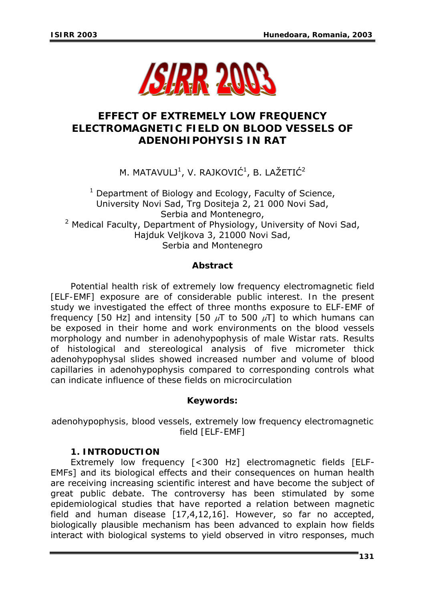

# **EFFECT OF EXTREMELY LOW FREQUENCY ELECTROMAGNETIC FIELD ON BLOOD VESSELS OF ADENOHIPOHYSIS IN RAT**

M. MATAVULJ $^1$ , V. RAJKOVIĆ $^1$ , B. LAŽETIĆ $^2$ 

 $1$  Department of Biology and Ecology, Faculty of Science, University Novi Sad, Trg Dositeja 2, 21 000 Novi Sad, Serbia and Montenegro, <sup>2</sup> Medical Faculty, Department of Physiology, University of Novi Sad, Hajduk Veljkova 3, 21000 Novi Sad, Serbia and Montenegro

## *Abstract*

*Potential health risk of extremely low frequency electromagnetic field [ELF-EMF] exposure are of considerable public interest. In the present study we investigated the effect of three months exposure to ELF-EMF of frequency [50 Hz] and intensity [50* μ*T to 500* μ*T] to which humans can be exposed in their home and work environments on the blood vessels morphology and number in adenohypophysis of male Wistar rats. Results of histological and stereological analysis of five micrometer thick adenohypophysal slides showed increased number and volume of blood capillaries in adenohypophysis compared to corresponding controls what can indicate influence of these fields on microcirculation* 

## *Keywords:*

*adenohypophysis, blood vessels, extremely low frequency electromagnetic field [ELF-EMF]*

## **1. INTRODUCTION**

Extremely low frequency [<300 Hz] electromagnetic fields [ELF-EMFs] and its biological effects and their consequences on human health are receiving increasing scientific interest and have become the subject of great public debate. The controversy has been stimulated by some epidemiological studies that have reported a relation between magnetic field and human disease [17,4,12,16]. However, so far no accepted, biologically plausible mechanism has been advanced to explain how fields interact with biological systems to yield observed in vitro responses, much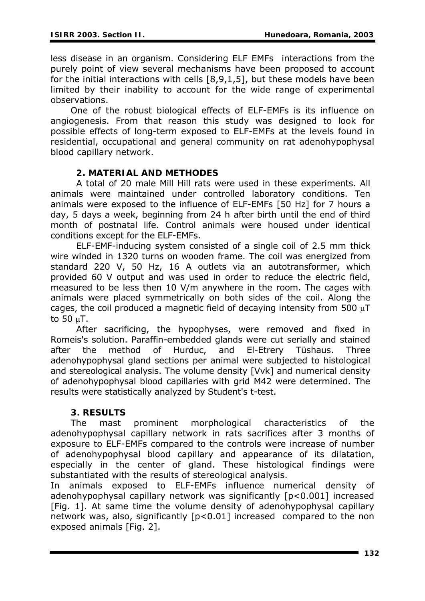less disease in an organism. Considering ELF EMFs interactions from the purely point of view several mechanisms have been proposed to account for the initial interactions with cells [8,9,1,5], but these models have been limited by their inability to account for the wide range of experimental observations.

 One of the robust biological effects of ELF-EMFs is its influence on angiogenesis. From that reason this study was designed to look for possible effects of long-term exposed to ELF-EMFs at the levels found in residential, occupational and general community on rat adenohypophysal blood capillary network.

## **2. MATERIAL AND METHODES**

 A total of 20 male Mill Hill rats were used in these experiments. All animals were maintained under controlled laboratory conditions. Ten animals were exposed to the influence of ELF-EMFs [50 Hz] for 7 hours a day, 5 days a week, beginning from 24 h after birth until the end of third month of postnatal life. Control animals were housed under identical conditions except for the ELF-EMFs.

 ELF-EMF-inducing system consisted of a single coil of 2.5 mm thick wire winded in 1320 turns on wooden frame. The coil was energized from standard 220 V, 50 Hz, 16 A outlets via an autotransformer, which provided 60 V output and was used in order to reduce the electric field, measured to be less then 10 V/m anywhere in the room. The cages with animals were placed symmetrically on both sides of the coil. Along the cages, the coil produced a magnetic field of decaying intensity from 500 μT to 50 μT.

 After sacrificing, the hypophyses, were removed and fixed in Romeis's solution. Paraffin-embedded glands were cut serially and stained after the method of Hurduc, and El-Etrery Tüshaus. Three adenohypophysal gland sections per animal were subjected to histological and stereological analysis. The volume density [Vvk] and numerical density of adenohypophysal blood capillaries with grid M42 were determined. The results were statistically analyzed by Student's *t*-test.

## **3. RESULTS**

 The mast prominent morphological characteristics of the adenohypophysal capillary network in rats sacrifices after 3 months of exposure to ELF-EMFs compared to the controls were increase of number of adenohypophysal blood capillary and appearance of its dilatation, especially in the center of gland. These histological findings were substantiated with the results of stereological analysis.

In animals exposed to ELF-EMFs influence numerical density of adenohypophysal capillary network was significantly [p<0.001] increased [Fig. 1]. At same time the volume density of adenohypophysal capillary network was, also, significantly [p<0.01] increased compared to the non exposed animals [Fig. 2].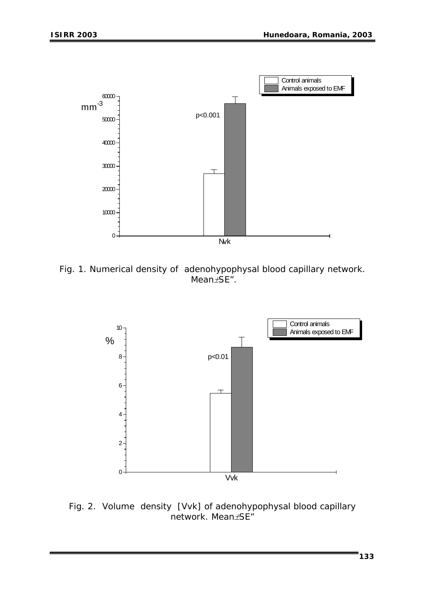

*Fig. 1. Numerical density of adenohypophysal blood capillary network. Mean*±*SE".* 



*Fig. 2. Volume density [Vvk] of adenohypophysal blood capillary network. Mean*±*SE"*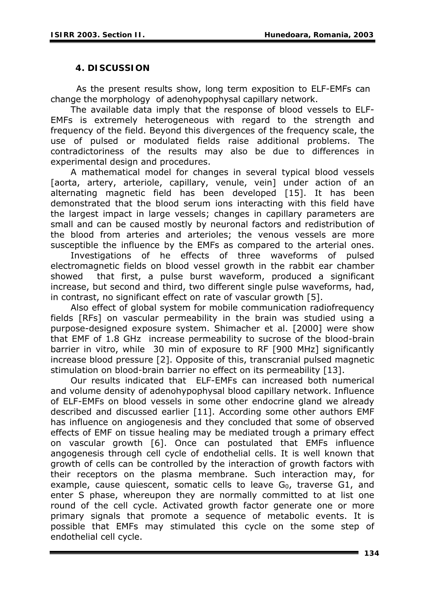### **4. DISCUSSION**

As the present results show, long term exposition to ELF-EMFs can change the morphology of adenohypophysal capillary network.

contradictoriness of the results may also be due to differences in The available data imply that the response of blood vessels to ELF-EMFs is extremely heterogeneous with regard to the strength and frequency of the field. Beyond this divergences of the frequency scale, the use of pulsed or modulated fields raise additional problems. The experimental design and procedures.

A mathematical model for changes in several typical blood vessels [aorta, artery, arteriole, capillary, venule, vein] under action of an alternating magnetic field has been developed [15]. It has been demonstrated that the blood serum ions interacting with this field have the largest impact in large vessels; changes in capillary parameters are small and can be caused mostly by neuronal factors and redistribution of the blood from arteries and arterioles; the venous vessels are more susceptible the influence by the EMFs as compared to the arterial ones.

increase, but second and third, two different single pulse waveforms, had, Investigations of he effects of three waveforms of pulsed electromagnetic fields on blood vessel growth in the rabbit ear chamber showed that first, a pulse burst waveform, produced a significant in contrast, no significant effect on rate of vascular growth [5].

increase blood pressure [2]. Opposite of this, transcranial pulsed magnetic Also effect of global system for mobile communication radiofrequency fields [RFs] on vascular permeability in the brain was studied using a purpose-designed exposure system. Shimacher et al. [2000] were show that EMF of 1.8 GHz increase permeability to sucrose of the blood-brain barrier in vitro, while 30 min of exposure to RF [900 MHz] significantly stimulation on blood-brain barrier no effect on its permeability [13].

possible that EMFs may stimulated this cycle on the some step of Our results indicated that ELF-EMFs can increased both numerical and volume density of adenohypophysal blood capillary network. Influence of ELF-EMFs on blood vessels in some other endocrine gland we already described and discussed earlier [11]. According some other authors EMF has influence on angiogenesis and they concluded that some of observed effects of EMF on tissue healing may be mediated trough a primary effect on vascular growth [6]. Once can postulated that EMFs influence angogenesis through cell cycle of endothelial cells. It is well known that growth of cells can be controlled by the interaction of growth factors with their receptors on the plasma membrane. Such interaction may, for example, cause quiescent, somatic cells to leave  $G_0$ , traverse G1, and enter S phase, whereupon they are normally committed to at list one round of the cell cycle. Activated growth factor generate one or more primary signals that promote a sequence of metabolic events. It is endothelial cell cycle.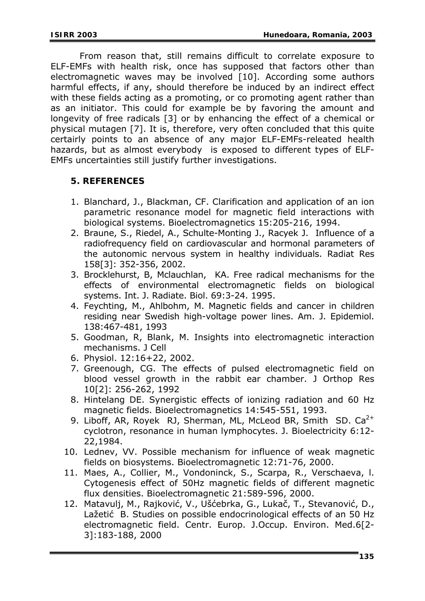From reason that, still remains difficult to correlate exposure to ELF-EMFs with health risk, once has supposed that factors other than electromagnetic waves may be involved [10]. According some authors harmful effects, if any, should therefore be induced by an indirect effect with these fields acting as a promoting, or co promoting agent rather than as an initiator. This could for example be by favoring the amount and longevity of free radicals [3] or by enhancing the effect of a chemical or physical mutagen [7]. It is, therefore, very often concluded that this quite certairly points to an absence of any major ELF-EMFs-releated health hazards, but as almost everybody is exposed to different types of ELF-EMFs uncertainties still justify further investigations.

## **5. REFERENCES**

- parametric resonance model for magnetic field interactions with 1. Blanchard, J., Blackman, CF. Clarification and application of an ion biological systems. Bioelectromagnetics 15:205-216, 1994.
- the autonomic nervous system in healthy individuals. Radiat Res 2. Braune, S., Riedel, A., Schulte-Monting J., Racyek J. Influence of a radiofrequency field on cardiovascular and hormonal parameters of 158[3]: 352-356, 2002.
- effects of environmental electromagnetic fields on biological 3. Brocklehurst, B, Mclauchlan, KA. Free radical mechanisms for the systems. Int. J. Radiate. Biol. 69:3-24. 1995.
- residing near Swedish high-voltage power lines. Am. J. Epidemiol. 4. Feychting, M., Ahlbohm, M. Magnetic fields and cancer in children 138:467-481, 1993
- 5. Goodman, R, Blank, M. Insights into electromagnetic interaction mechanisms. J Cell
- 6. Physiol. 12:16+22, 2002.
- blood vessel growth in the rabbit ear chamber. J Orthop Res 7. Greenough, CG. The effects of pulsed electromagnetic field on 10[2]: 256-262, 1992
- 8. Hintelang DE. Synergistic effects of ionizing radiation and 60 Hz magnetic fields. Bioelectromagnetics 14:545-551, 1993.
- cyclotron, resonance in human lymphocytes. J. Bioelectricity 6:12-9. Liboff, AR, Royek RJ, Sherman, ML, McLeod BR, Smith SD.  $Ca^{2+}$ 22,1984.
- 10. Lednev, VV. Possible mechanism for influence of weak magnetic fields on biosystems. Bioelectromagnetic 12:71-76, 2000.
- Cytogenesis effect of 50Hz magnetic fields of different magnetic 11. Maes, A., Collier, M., Vondoninck, S., Scarpa, R., Verschaeva, l. flux densities. Bioelectromagnetic 21:589-596, 2000.
- electromagnetic field. Centr. Europ. J.Occup. Environ. Med.6[2-3]:183-188, 2000 12. Matavulj, M., Rajković, V., Ušćebrka, G., Lukač, T., Stevanović, D., Lažetić B. Studies on possible endocrinological effects of an 50 Hz